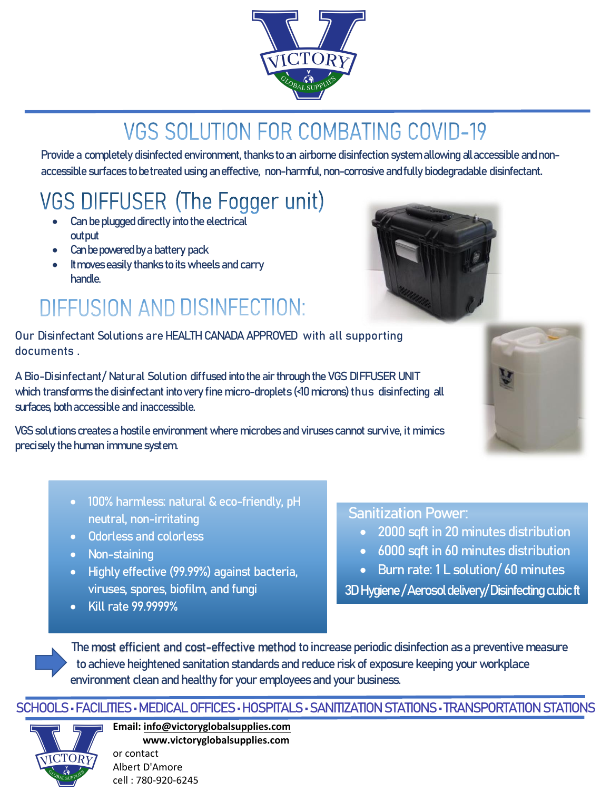

## **VGS SOLUTION FOR COMBATING COVID-19**

Provide a completely disinfected environment, thanks to an airborne disinfection system allowing all accessible and nonaccessible surfaces to be treated using an effective, non-harmful, non-corrosive andfully biodegradable disinfectant.

## VGS DIFFUSER (The Fogger unit)

- Can be plugged directly into the electrical out put
- Can be powered by a battery pack
- It moves easily thanks to its wheels and carry handle.

## **DIFFUSION AND DISINFECTION:**

Our Disinfectant Solutions are HEALTH CANADA APPROVED with all supporting documents .

A Bio-Disinfectant/ Natural Solution diffused into the air through the VGS DIFFUSER UNIT which transforms the disinfectant into very fine micro-droplets (<10 microns) thus disinfecting all surfaces, both accessible and inaccessible.

VGS solutions creates a hostile environment where microbes and viruses cannot survive, it mimics precisely the human immune system.

- 100% harmless: natural & eco-friendly, pH neutral, non-irritating
- Odorless and colorless
- Non-staining
- Highly effective (99.99%) against bacteria, viruses, spores, biofilm, and fungi
- Kill rate 99.9999%

### Sanitization Power:

- 2000 sqft in 20 minutes distribution
- 6000 sqft in 60 minutes distribution
- Burn rate: 1 L solution/ 60 minutes

3D Hygiene / Aerosol delivery/ Disinfecting cubic ft

The most efficient and cost-effective method to increase periodic disinfection as a preventive measure to achieve heightened sanitation standards and reduce riskof exposure keepingyour workplace environment clean and healthy for your employees and your business.

#### SCHOOLS • FACILITIES • MEDICAL OFFICES • HOSPITALS • SANITIZATION STATIONS • TRANSPORTATION STATIONS



**Email: info@victoryglobalsupplies.com [www.victoryglobalsupplies.com](mailto:albert@victoryglobalsupplies.com)** [or contact](http://www.victoryglobalsupplies.com/)  Albert D'Amore cell : 780-920-6245